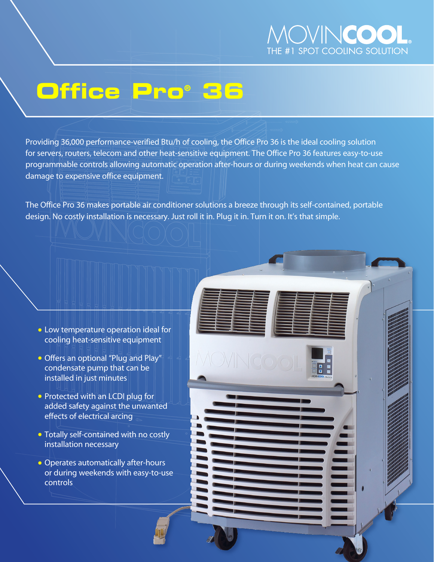

# **Office Pro® 36**

Providing 36,000 performance-verified Btu/h of cooling, the Office Pro 36 is the ideal cooling solution for servers, routers, telecom and other heat-sensitive equipment. The Office Pro 36 features easy-to-use programmable controls allowing automatic operation after-hours or during weekends when heat can cause damage to expensive office equipment.

The Office Pro 36 makes portable air conditioner solutions a breeze through its self-contained, portable design. No costly installation is necessary. Just roll it in. Plug it in. Turn it on. It's that simple.

- **Low temperature operation ideal for** cooling heat-sensitive equipment
- Offers an optional "Plug and Play" condensate pump that can be installed in just minutes
- Protected with an LCDI plug for added safety against the unwanted effects of electrical arcing
- Totally self-contained with no costly installation necessary
- Operates automatically after-hours or during weekends with easy-to-use controls